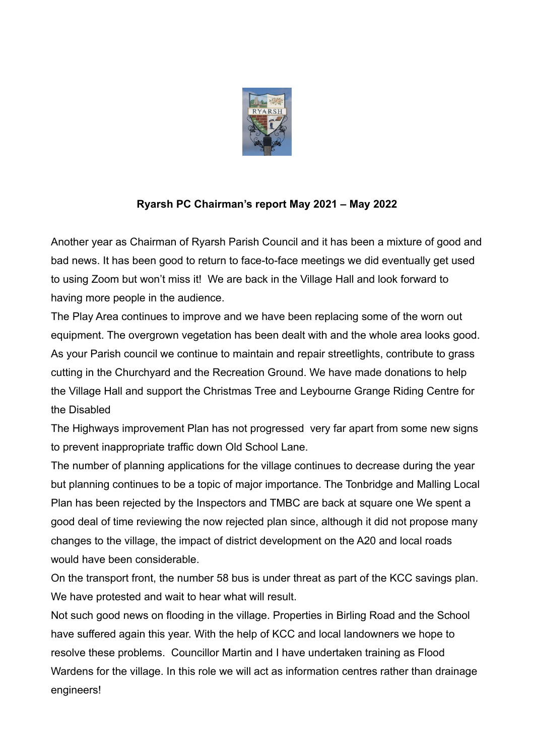

## **Ryarsh PC Chairman's report May 2021 – May 2022**

Another year as Chairman of Ryarsh Parish Council and it has been a mixture of good and bad news. It has been good to return to face-to-face meetings we did eventually get used to using Zoom but won't miss it! We are back in the Village Hall and look forward to having more people in the audience.

The Play Area continues to improve and we have been replacing some of the worn out equipment. The overgrown vegetation has been dealt with and the whole area looks good. As your Parish council we continue to maintain and repair streetlights, contribute to grass cutting in the Churchyard and the Recreation Ground. We have made donations to help the Village Hall and support the Christmas Tree and Leybourne Grange Riding Centre for the Disabled

The Highways improvement Plan has not progressed very far apart from some new signs to prevent inappropriate traffic down Old School Lane.

The number of planning applications for the village continues to decrease during the year but planning continues to be a topic of major importance. The Tonbridge and Malling Local Plan has been rejected by the Inspectors and TMBC are back at square one We spent a good deal of time reviewing the now rejected plan since, although it did not propose many changes to the village, the impact of district development on the A20 and local roads would have been considerable.

On the transport front, the number 58 bus is under threat as part of the KCC savings plan. We have protested and wait to hear what will result.

Not such good news on flooding in the village. Properties in Birling Road and the School have suffered again this year. With the help of KCC and local landowners we hope to resolve these problems. Councillor Martin and I have undertaken training as Flood Wardens for the village. In this role we will act as information centres rather than drainage engineers!